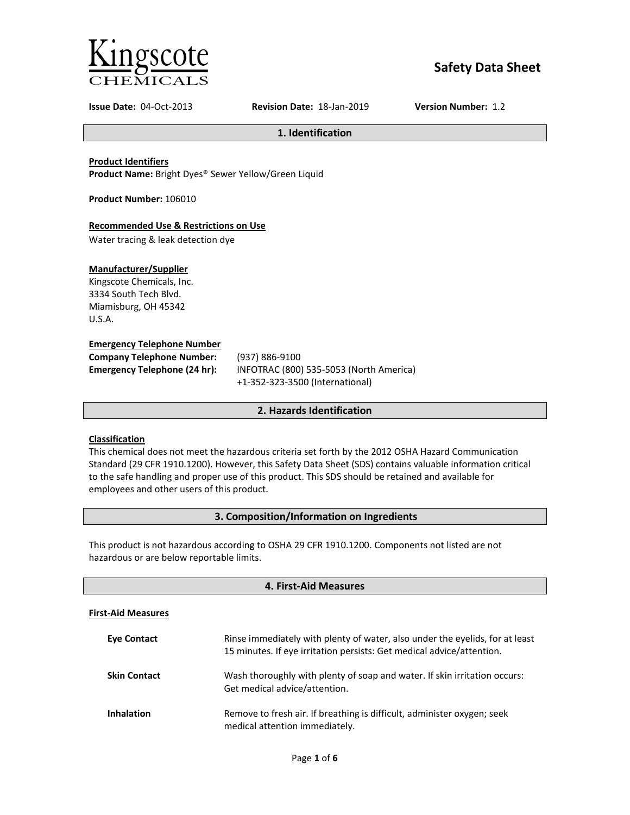

# **Safety Data Sheet**

**Issue Date:** 04-Oct-2013 **Revision Date:** 18-Jan-2019 **Version Number:** 1.2

**1. Identification**

**Product Identifiers**

**Product Name:** Bright Dyes® Sewer Yellow/Green Liquid

**Product Number:** 106010

## **Recommended Use & Restrictions on Use**

Water tracing & leak detection dye

## **Manufacturer/Supplier**

Kingscote Chemicals, Inc. 3334 South Tech Blvd. Miamisburg, OH 45342 U.S.A.

#### **Emergency Telephone Number**

| <b>Company Telephone Number:</b> | (937)        |
|----------------------------------|--------------|
| Emergency Telephone (24 hr):     | <b>INFOT</b> |
|                                  |              |

**Company Telephone Number:** (937) 886-9100 **Emergency Telephone (24 hr):** INFOTRAC (800) 535-5053 (North America) +1-352-323-3500 (International)

## **2. Hazards Identification**

## **Classification**

This chemical does not meet the hazardous criteria set forth by the 2012 OSHA Hazard Communication Standard (29 CFR 1910.1200). However, this Safety Data Sheet (SDS) contains valuable information critical to the safe handling and proper use of this product. This SDS should be retained and available for employees and other users of this product.

## **3. Composition/Information on Ingredients**

This product is not hazardous according to OSHA 29 CFR 1910.1200. Components not listed are not hazardous or are below reportable limits.

| 4. First-Aid Measures     |                                                                                                                                                       |
|---------------------------|-------------------------------------------------------------------------------------------------------------------------------------------------------|
| <b>First-Aid Measures</b> |                                                                                                                                                       |
| <b>Eve Contact</b>        | Rinse immediately with plenty of water, also under the eyelids, for at least<br>15 minutes. If eye irritation persists: Get medical advice/attention. |
| <b>Skin Contact</b>       | Wash thoroughly with plenty of soap and water. If skin irritation occurs:<br>Get medical advice/attention.                                            |
| <b>Inhalation</b>         | Remove to fresh air. If breathing is difficult, administer oxygen; seek<br>medical attention immediately.                                             |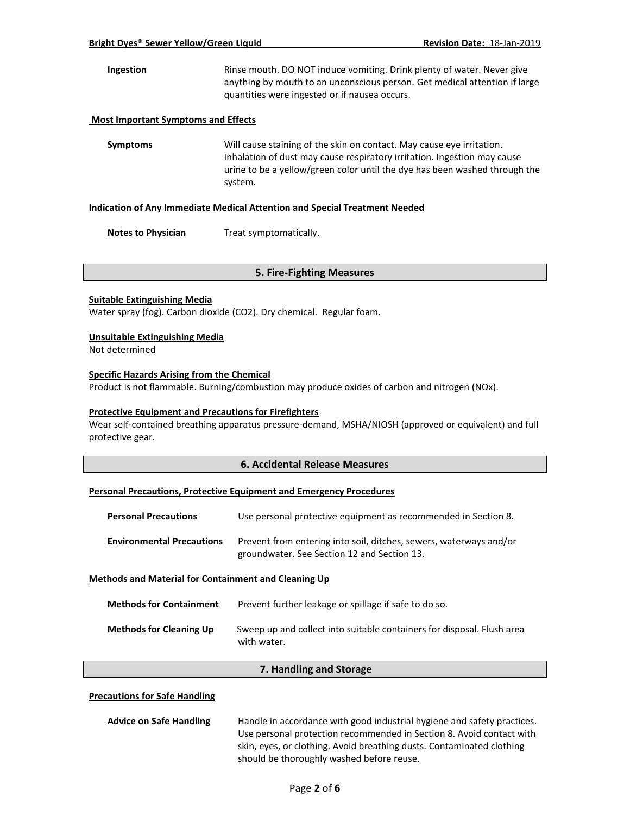**Ingestion** Rinse mouth. DO NOT induce vomiting. Drink plenty of water. Never give anything by mouth to an unconscious person. Get medical attention if large quantities were ingested or if nausea occurs.

#### **Most Important Symptoms and Effects**

**Symptoms** Will cause staining of the skin on contact. May cause eye irritation. Inhalation of dust may cause respiratory irritation. Ingestion may cause urine to be a yellow/green color until the dye has been washed through the system.

#### **Indication of Any Immediate Medical Attention and Special Treatment Needed**

**Notes to Physician** Treat symptomatically.

#### **5. Fire-Fighting Measures**

#### **Suitable Extinguishing Media**

Water spray (fog). Carbon dioxide (CO2). Dry chemical. Regular foam.

#### **Unsuitable Extinguishing Media**

Not determined

#### **Specific Hazards Arising from the Chemical**

Product is not flammable. Burning/combustion may produce oxides of carbon and nitrogen (NOx).

#### **Protective Equipment and Precautions for Firefighters**

Wear self-contained breathing apparatus pressure-demand, MSHA/NIOSH (approved or equivalent) and full protective gear.

#### **6. Accidental Release Measures**

#### **Personal Precautions, Protective Equipment and Emergency Procedures**

| <b>Personal Precautions</b>                                 | Use personal protective equipment as recommended in Section 8.                                                    |
|-------------------------------------------------------------|-------------------------------------------------------------------------------------------------------------------|
| <b>Environmental Precautions</b>                            | Prevent from entering into soil, ditches, sewers, waterways and/or<br>groundwater. See Section 12 and Section 13. |
| <b>Methods and Material for Containment and Cleaning Up</b> |                                                                                                                   |

| <b>Methods for Containment</b> | Prevent further leakage or spillage if safe to do so.                                 |
|--------------------------------|---------------------------------------------------------------------------------------|
| <b>Methods for Cleaning Up</b> | Sweep up and collect into suitable containers for disposal. Flush area<br>with water. |

#### **7. Handling and Storage**

#### **Precautions for Safe Handling**

| <b>Advice on Safe Handling</b> | Handle in accordance with good industrial hygiene and safety practices. |
|--------------------------------|-------------------------------------------------------------------------|
|                                | Use personal protection recommended in Section 8. Avoid contact with    |
|                                | skin, eyes, or clothing. Avoid breathing dusts. Contaminated clothing   |
|                                | should be thoroughly washed before reuse.                               |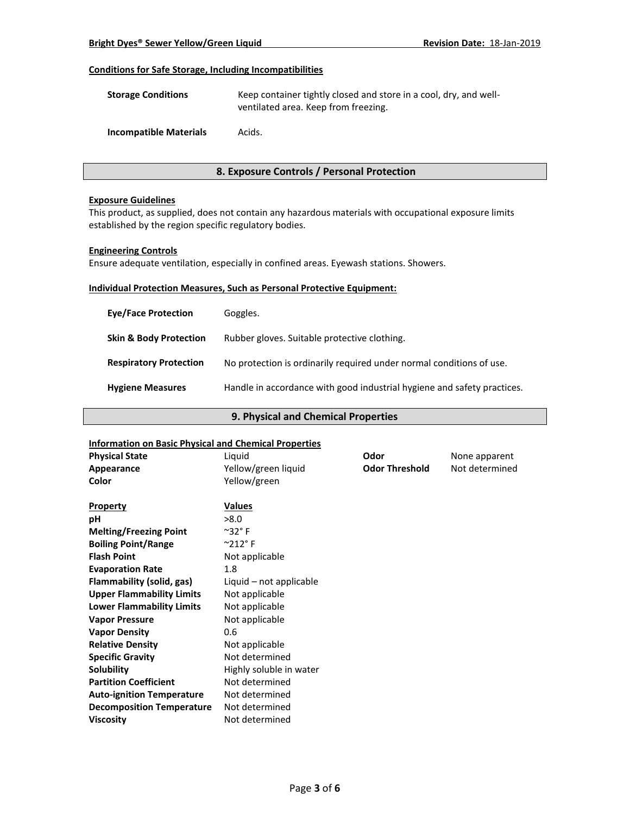## **Conditions for Safe Storage, Including Incompatibilities**

| <b>Storage Conditions</b> | Keep container tightly closed and store in a cool, dry, and well- |
|---------------------------|-------------------------------------------------------------------|
|                           | ventilated area. Keep from freezing.                              |

**Incompatible Materials** Acids.

### **8. Exposure Controls / Personal Protection**

#### **Exposure Guidelines**

This product, as supplied, does not contain any hazardous materials with occupational exposure limits established by the region specific regulatory bodies.

#### **Engineering Controls**

Ensure adequate ventilation, especially in confined areas. Eyewash stations. Showers.

## **Individual Protection Measures, Such as Personal Protective Equipment:**

| Goggles.                                                                |
|-------------------------------------------------------------------------|
| Rubber gloves. Suitable protective clothing.                            |
| No protection is ordinarily required under normal conditions of use.    |
| Handle in accordance with good industrial hygiene and safety practices. |
|                                                                         |

## **9. Physical and Chemical Properties**

#### **Information on Basic Physical and Chemical Properties**

| <u>IIIIOIIIIatioII oli basit Filysitäi allu tileliiltäi Fi operties</u> |                           |                       |                |
|-------------------------------------------------------------------------|---------------------------|-----------------------|----------------|
| <b>Physical State</b>                                                   | Liquid                    | Odor                  | None apparent  |
| Appearance                                                              | Yellow/green liquid       | <b>Odor Threshold</b> | Not determined |
| Color                                                                   | Yellow/green              |                       |                |
|                                                                         |                           |                       |                |
| <b>Property</b>                                                         | <b>Values</b>             |                       |                |
| pH                                                                      | >8.0                      |                       |                |
| <b>Melting/Freezing Point</b>                                           | $^{\sim}$ 32 $^{\circ}$ F |                       |                |
| <b>Boiling Point/Range</b>                                              | $^{\circ}212^{\circ}$ F   |                       |                |
| <b>Flash Point</b>                                                      | Not applicable            |                       |                |
| <b>Evaporation Rate</b>                                                 | 1.8                       |                       |                |
| Flammability (solid, gas)                                               | Liquid – not applicable   |                       |                |
| <b>Upper Flammability Limits</b>                                        | Not applicable            |                       |                |
| <b>Lower Flammability Limits</b>                                        | Not applicable            |                       |                |
| <b>Vapor Pressure</b>                                                   | Not applicable            |                       |                |
| <b>Vapor Density</b>                                                    | 0.6                       |                       |                |
| <b>Relative Density</b>                                                 | Not applicable            |                       |                |
| <b>Specific Gravity</b>                                                 | Not determined            |                       |                |
| Solubility                                                              | Highly soluble in water   |                       |                |
| <b>Partition Coefficient</b>                                            | Not determined            |                       |                |
| <b>Auto-ignition Temperature</b>                                        | Not determined            |                       |                |
| <b>Decomposition Temperature</b>                                        | Not determined            |                       |                |
| <b>Viscosity</b>                                                        | Not determined            |                       |                |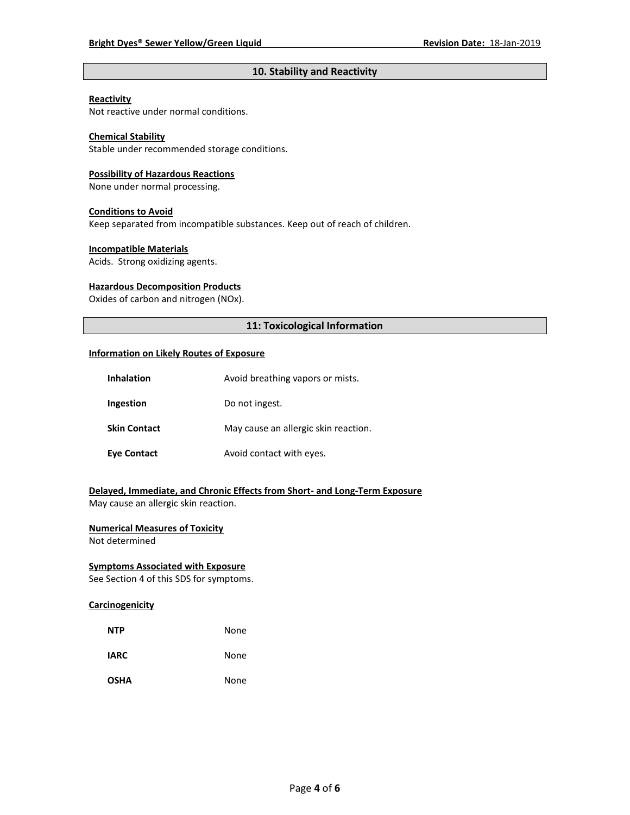## **10. Stability and Reactivity**

#### **Reactivity**

Not reactive under normal conditions.

## **Chemical Stability**

Stable under recommended storage conditions.

#### **Possibility of Hazardous Reactions**

None under normal processing.

#### **Conditions to Avoid**

Keep separated from incompatible substances. Keep out of reach of children.

#### **Incompatible Materials**

Acids. Strong oxidizing agents.

#### **Hazardous Decomposition Products**

Oxides of carbon and nitrogen (NOx).

## **11: Toxicological Information**

#### **Information on Likely Routes of Exposure**

| <b>Inhalation</b>   | Avoid breathing vapors or mists.     |
|---------------------|--------------------------------------|
| Ingestion           | Do not ingest.                       |
| <b>Skin Contact</b> | May cause an allergic skin reaction. |
| Eye Contact         | Avoid contact with eyes.             |

**Delayed, Immediate, and Chronic Effects from Short- and Long-Term Exposure** May cause an allergic skin reaction.

## **Numerical Measures of Toxicity**

Not determined

## **Symptoms Associated with Exposure**

See Section 4 of this SDS for symptoms.

## **Carcinogenicity**

| <b>NTP</b>  | None |
|-------------|------|
| <b>IARC</b> | None |
| <b>OSHA</b> | None |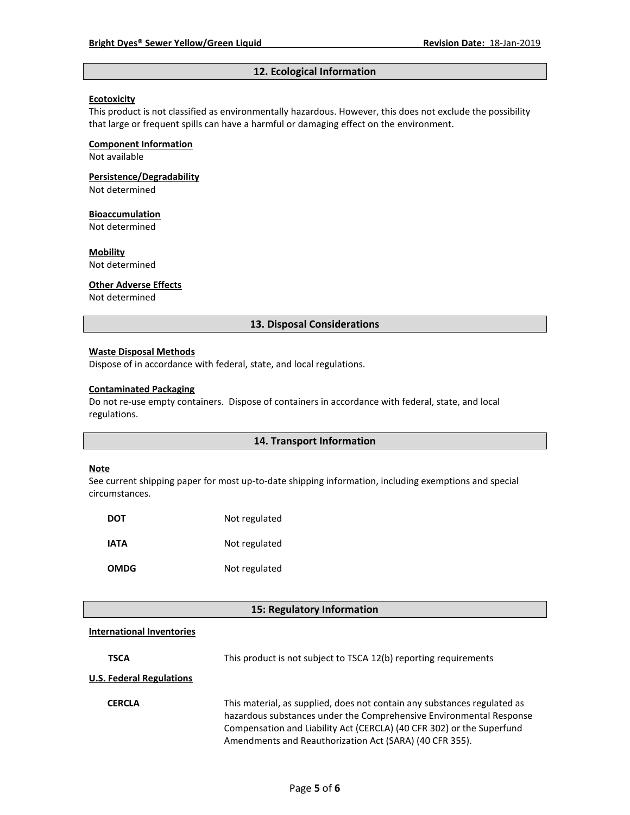## **12. Ecological Information**

#### **Ecotoxicity**

This product is not classified as environmentally hazardous. However, this does not exclude the possibility that large or frequent spills can have a harmful or damaging effect on the environment.

#### **Component Information**

Not available

## **Persistence/Degradability**

Not determined

#### **Bioaccumulation**

Not determined

## **Mobility**

Not determined

#### **Other Adverse Effects**

Not determined

#### **13. Disposal Considerations**

#### **Waste Disposal Methods**

Dispose of in accordance with federal, state, and local regulations.

#### **Contaminated Packaging**

Do not re-use empty containers.Dispose of containers in accordance with federal, state, and local regulations.

#### **14. Transport Information**

#### **Note**

See current shipping paper for most up-to-date shipping information, including exemptions and special circumstances.

| DOT         | Not regulated |
|-------------|---------------|
| IATA        | Not regulated |
| <b>OMDG</b> | Not regulated |

## **15: Regulatory Information**

#### **International Inventories**

| <b>TSCA</b>                     | This product is not subject to TSCA 12(b) reporting requirements                                                                                                                                                                                                                    |
|---------------------------------|-------------------------------------------------------------------------------------------------------------------------------------------------------------------------------------------------------------------------------------------------------------------------------------|
| <b>U.S. Federal Regulations</b> |                                                                                                                                                                                                                                                                                     |
| <b>CERCLA</b>                   | This material, as supplied, does not contain any substances regulated as<br>hazardous substances under the Comprehensive Environmental Response<br>Compensation and Liability Act (CERCLA) (40 CFR 302) or the Superfund<br>Amendments and Reauthorization Act (SARA) (40 CFR 355). |